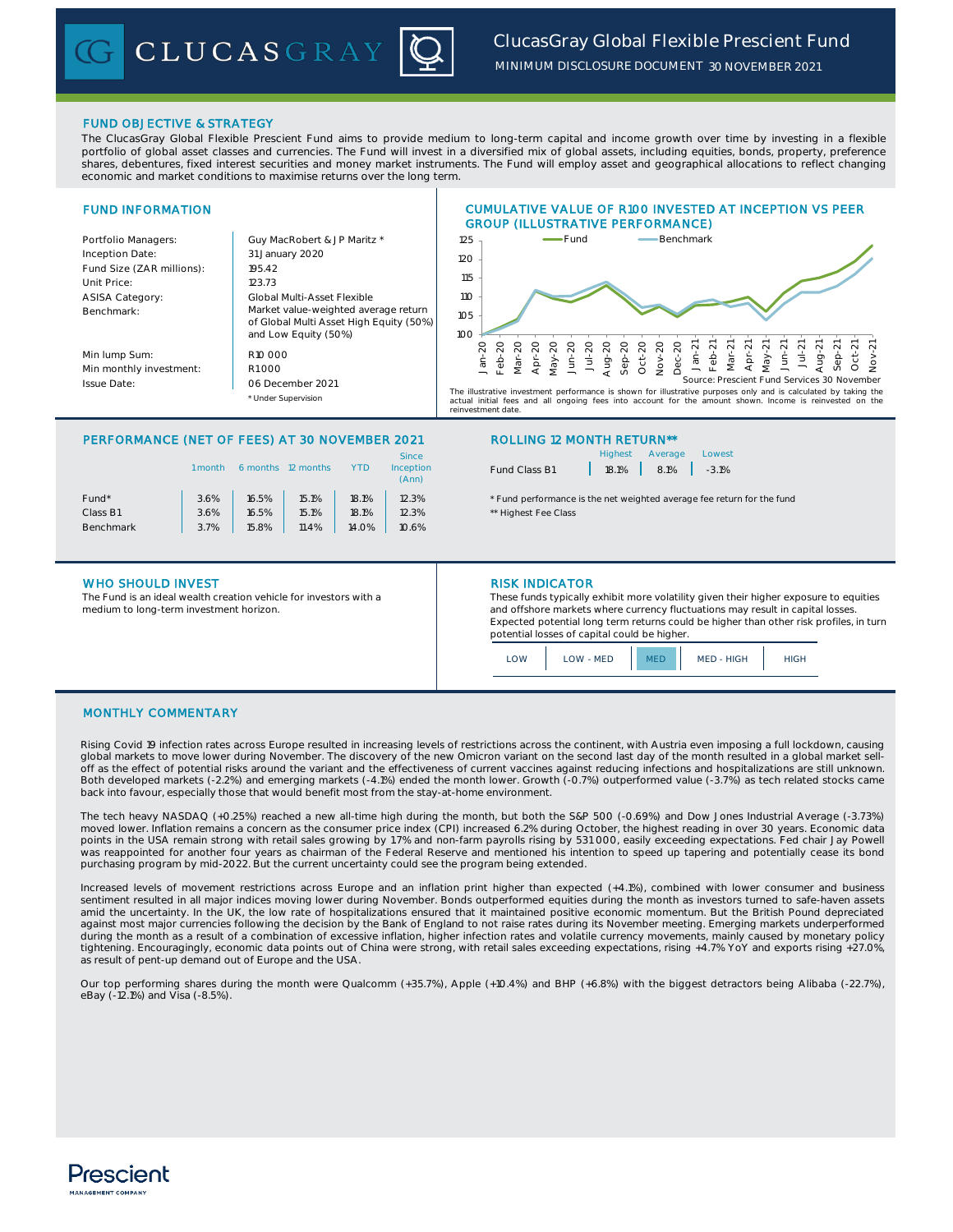# *ClucasGray Global Flexible Prescient Fund MINIMUM DISCLOSURE DOCUMENT 30 NOVEMBER 2021*

# FUND OBJECTIVE & STRATEGY

The ClucasGray Global Flexible Prescient Fund aims to provide medium to long-term capital and income growth over time by investing in a flexible portfolio of global asset classes and currencies. The Fund will invest in a diversified mix of global assets, including equities, bonds, property, preference shares, debentures, fixed interest securities and money market instruments. The Fund will employ asset and geographical allocations to reflect changing economic and market conditions to maximise returns over the long term.

# FUND INFORMATION

| Portfolio Managers:<br>Inception Date:<br>Fund Size (ZAR millions):<br>Unit Price:<br><b>ASISA Category:</b><br>Benchmark: | Guy MacRobert & JP Maritz *<br>31 January 2020<br>195.42<br>123.73<br>Global Multi-Asset Flexible<br>Market value-weighted average return<br>of Global Multi Asset High Equity (50%) |
|----------------------------------------------------------------------------------------------------------------------------|--------------------------------------------------------------------------------------------------------------------------------------------------------------------------------------|
| Min lump Sum:                                                                                                              | and Low Equity (50%)<br>R <sub>10</sub> 000                                                                                                                                          |
| Min monthly investment:                                                                                                    | R1000                                                                                                                                                                                |
|                                                                                                                            |                                                                                                                                                                                      |
| <b>Issue Date:</b>                                                                                                         | 06 December 2021                                                                                                                                                                     |

CLUCASGRAY



CUMULATIVE VALUE OF R100 INVESTED AT INCEPTION VS PEER

actual initial fees and all ongoing fees into account for the amount shown. Income is reinvested on the uur millar 1883<br>westment date

# PERFORMANCE (NET OF FEES) AT 30 NOVEMBER 2021 ROLLING 12 MONTH RETURN\*\*

\* Under Supervision

| 1 month | 6 months | 12 months | YTD   | Since<br>Inception<br>(Ann) |
|---------|----------|-----------|-------|-----------------------------|
| 3.6%    | 16.5%    | 15.1%     | 18.1% | 12.3%                       |
| 3.6%    | 16.5%    | 15.1%     | 18.1% | 12.3%                       |
| 3.7%    | 15.8%    | 11.4%     | 14.0% | 10.6%                       |
|         |          |           |       |                             |

|               | Highest Average               | Lowest |
|---------------|-------------------------------|--------|
| Fund Class B1 | $18.1\%$   $8.1\%$   $-3.1\%$ |        |

\* Fund performance is the net weighted average fee return for the fund \*\* Highest Fee Class

# WHO SHOULD INVEST **RISK INDICATOR**

The Fund is an ideal wealth creation vehicle for investors with a medium to long-term investment horizon.

These funds typically exhibit more volatility given their higher exposure to equities and offshore markets where currency fluctuations may result in capital losses. Expected potential long term returns could be higher than other risk profiles, in turn potential losses of capital could be higher.

| OW | <b>I OW - MED</b> | MF D | MED - HIGH | <b>HIGH</b> |
|----|-------------------|------|------------|-------------|
|----|-------------------|------|------------|-------------|

### MONTHLY COMMENTARY

Rising Covid 19 infection rates across Europe resulted in increasing levels of restrictions across the continent, with Austria even imposing a full lockdown, causing global markets to move lower during November. The discovery of the new Omicron variant on the second last day of the month resulted in a global market sell-<br>off as the effect of potential risks around the variant and the e Both developed markets (-2.2%) and emerging markets (-4.1%) ended the month lower. Growth (-0.7%) outperformed value (-3.7%) as tech related stocks came back into favour, especially those that would benefit most from the stay-at-home environment.

The tech heavy NASDAQ (+0.25%) reached a new all-time high during the month, but both the S&P 500 (-0.69%) and Dow Jones Industrial Average (-3.73%) moved lower. Inflation remains a concern as the consumer price index (CPI) increased 6.2% during October, the highest reading in over 30 years. Economic data points in the USA remain strong with retail sales growing by 1.7% and non-farm payrolls rising by 531 000, easily exceeding expectations. Fed chair Jay Powell was reappointed for another four years as chairman of the Federal Reserve and mentioned his intention to speed up tapering and potentially cease its bond purchasing program by mid-2022. But the current uncertainty could see the program being extended.

Increased levels of movement restrictions across Europe and an inflation print higher than expected (+4.1%), combined with lower consumer and business<br>sentiment resulted in all major indices moving lower during November. B amid the uncertainty. In the UK, the low rate of hospitalizations ensured that it maintained positive economic momentum. But the British Pound depreciated against most major currencies following the decision by the Bank of England to not raise rates during its November meeting. Emerging markets underperformed during the month as a result of a combination of excessive inflation, higher infection rates and volatile currency movements, mainly caused by monetary policy tightening. Encouragingly, economic data points out of China were strong, with retail sales exceeding expectations, rising +4.7% YoY and exports rising +27.0%, as result of pent-up demand out of Europe and the USA.

Our top performing shares during the month were Qualcomm (+35.7%), Apple (+10.4%) and BHP (+6.8%) with the biggest detractors being Alibaba (-22.7%), eBay (-12.1%) and Visa (-8.5%).

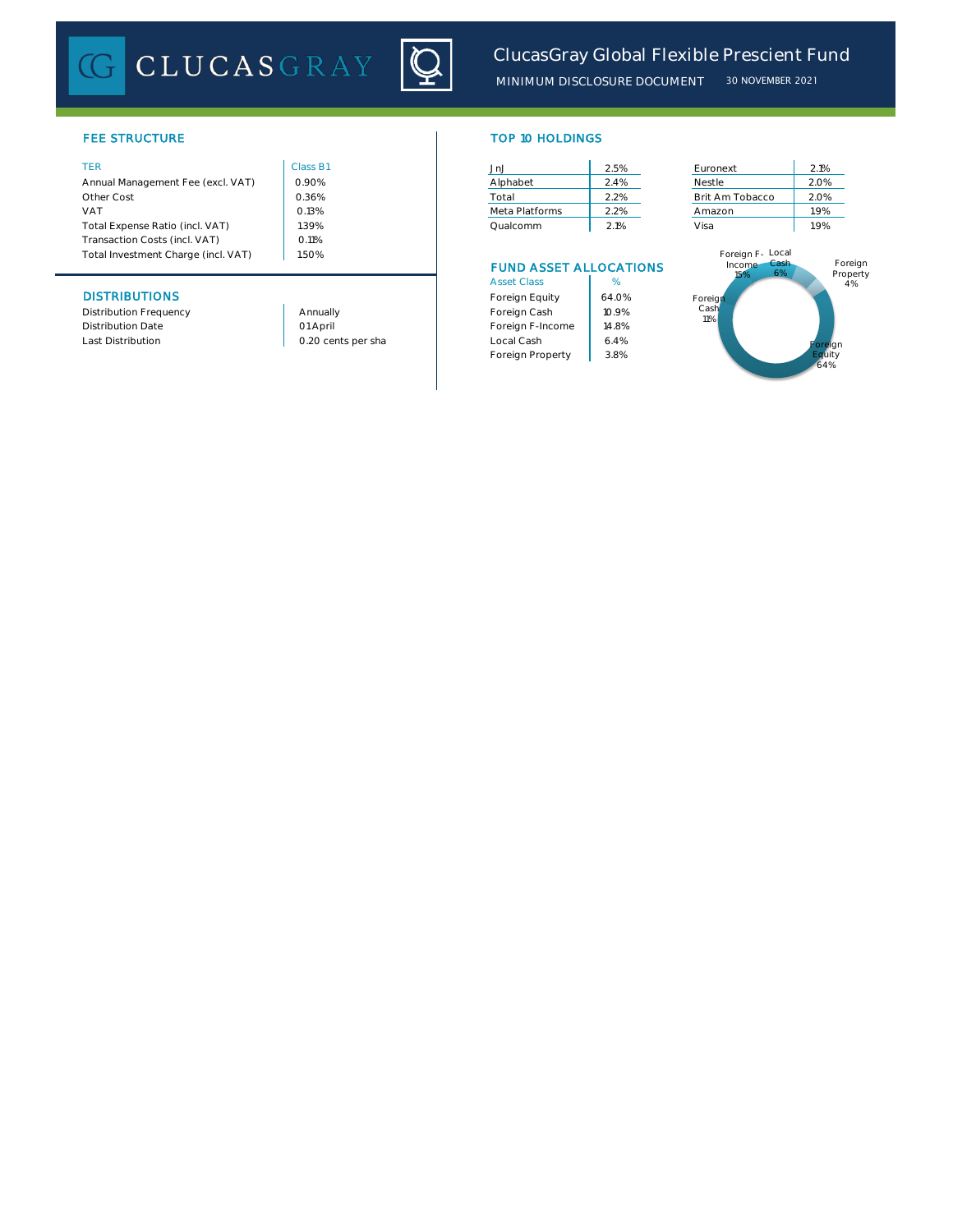# CLUCASGRAY



# FEE STRUCTURE

| Annual Management Fee (excl. VAT)   | 0.90%    | Alphabet       | 2.4% | Nestle           | 2.0% |
|-------------------------------------|----------|----------------|------|------------------|------|
| Other Cost                          | 0.36%    | Total          | 2.2% | Brit Am Tobacco  | 2.0% |
| <b>VAT</b>                          | 0.13%    | Meta Platforms | 2.2% | Amazon           | 1.9% |
| Total Expense Ratio (incl. VAT)     | .39%     | Qualcomm       | 2.1% | Visa             | 1.9% |
| Transaction Costs (incl. VAT)       | $0.11\%$ |                |      |                  |      |
| Total Investment Charge (incl. VAT) | 1.50%    |                |      | Foreign F- Local |      |

# **DISTRIBUTIONS**

Distribution Frequency **Annually** Annually Distribution Date

1.50%

01 April

| <b>TOP 10 HOLDINGS</b> |  |  |
|------------------------|--|--|
|                        |  |  |

| TER                               | Class B1 | JnJ   |                | 2.5% | Euronext        | 2.1% |
|-----------------------------------|----------|-------|----------------|------|-----------------|------|
| Annual Management Fee (excl. VAT) | 0.90%    |       | Alphabet       | 2.4% | Nestle          | 2.0% |
| Other Cost                        | 0.36%    | Total |                | 2.2% | Brit Am Tobacco | 2.0% |
| VAT                               | 0.13%    |       | Meta Platforms | 2.2% | Amazon          | 1.9% |
| Total Expense Ratio (incl. VAT)   | .39%     |       | Qualcomm       | 2.1% | Visa            | 1.9% |

# FUND ASSET ALLOCATIONS

| <b>Asset Class</b> | %     |
|--------------------|-------|
| Foreign Equity     | 64.0% |
| Foreign Cash       | 10.9% |
| Foreign F-Income   | 14.8% |
| Local Cash         | 64%   |
| Foreign Property   | 3.8%  |